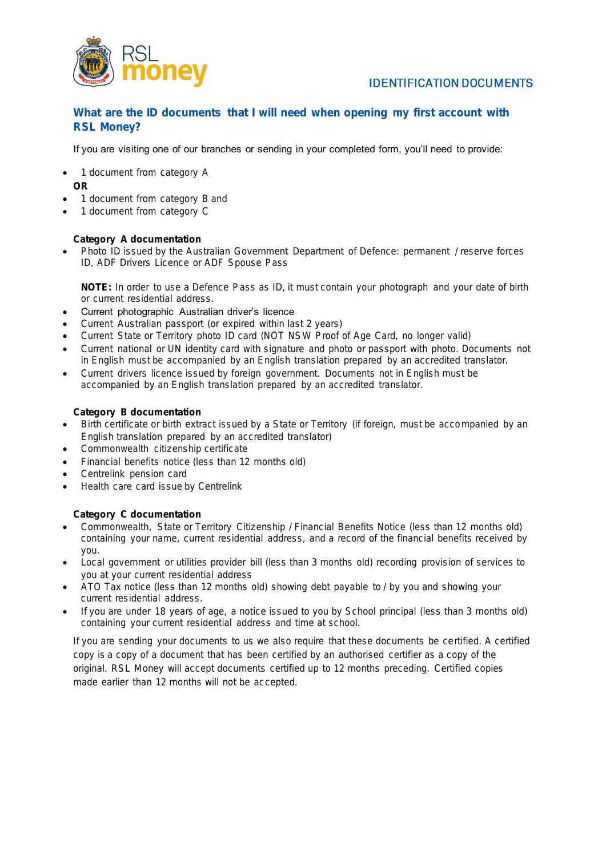

What are the ID documents that I will need when opening my first account with RSL Money?

### If you are visiting one of our branches or sending in your completed form, you'll need to provide:

- 1 document from category A OR
- 1 document from category B and
- 1 document from category C

Category A documentation

• Photo ID issued by the Australian Government Department of Defence: permanent / reserve forces ID, ADF Drivers Licence or ADF Spouse Pass

NOTE: In order to use a Defence Pass as ID, it must contain your photograph and your date of birth or current residential address.

- Current photographic Australian driver's licence
- Current Australian passport (or expired within last 2 years)
- Current State or Territory photo ID card (NOT NSW Proof of Age Card, no longer valid)
- Current national or UN identity card with signature and photo or passport with photo. Documents not in English must be accompanied by an English translation prepared by an accredited translator.
- Current drivers licence issued by foreign government. Documents not in English must be accompanied by an English translation prepared by an accredited translator.

Category B documentation

- Birth certificate or birth extract issued by a State or Territory (if foreign, must be accompanied by an English translation prepared by an accredited translator)
- Commonwealth citizenship certificate
- Financial benefits notice (less than 12 months old)
- Centrelink pension card
- Health care card issue by Centrelink

Category C documentation

- Commonwealth, State or Territory Citizenship / Financial Benefits Notice (less than 12 months old) containing your name, current residential address, and a record of the financial benefits received by you.
- Local government or utilities provider bill (less than 3 months old) recording provision of services to you at your current residential address
- ATO Tax notice (less than 12 months old) showing debt payable to / by you and showing your current residential address.
- If you are under 18 years of age, a notice issued to you by School principal (less than 3 months old) containing your current residential address and time at school.

If you are sending your documents to us we also require that these documents be certified. A certified copy is a copy of a document that has been certified by an authorised certifier as a copy of the original. RSL Money will accept documents certified up to 12 months preceding. Certified copies made earlier than 12 months will not be accepted.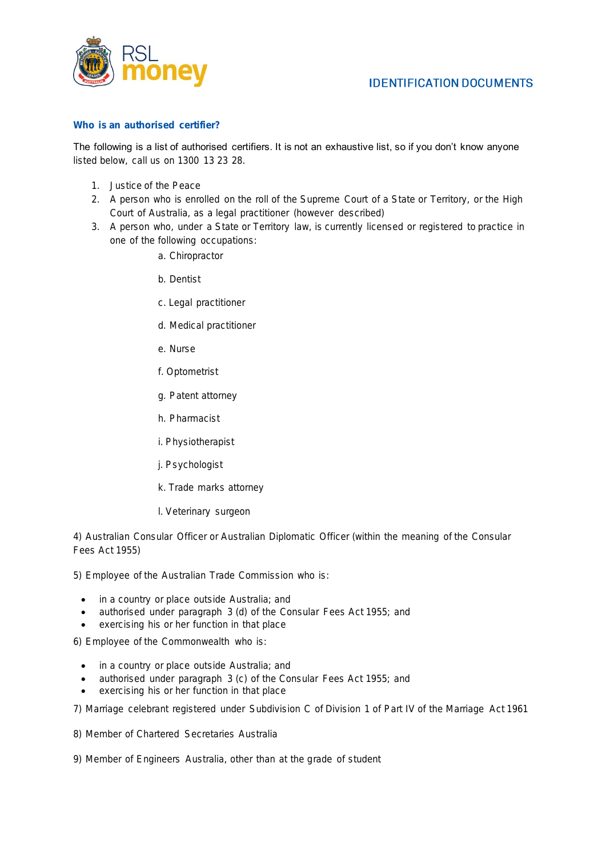

#### Who is an authorised certifier?

The following is a list of authorised certifiers. It is not an exhaustive list, so if you don't know anyone listed below, call us on 1300 13 23 28.

- 1. Justice of the Peace
- 2. A person who is enrolled on the roll of the Supreme Court of a State or Territory, or the High Court of Australia, as a legal practitioner (however described)
- 3. A person who, under a State or Territory law, is currently licensed or registered to practice in one of the following occupations:
	- a. Chiropractor
	- b. Dentist
	- c. Legal practitioner
	- d. Medical practitioner
	- e. Nurse
	- f. Optometrist
	- g. Patent attorney
	- h. Pharmacist
	- i. Physiotherapist
	- j. Psychologist
	- k. Trade marks attorney
	- l. Veterinary surgeon

4) Australian Consular Officer or Australian Diplomatic Officer (within the meaning of the Consular Fees Act 1955)

5) Employee of the Australian Trade Commission who is:

- in a country or place outside Australia; and
- authorised under paragraph 3 (d) of the Consular Fees Act 1955; and
- exercising his or her function in that place

6) Employee of the Commonwealth who is:

- in a country or place outside Australia; and
- authorised under paragraph 3 (c) of the Consular Fees Act 1955; and
- exercising his or her function in that place

7) Marriage celebrant registered under Subdivision C of Division 1 of Part IV of the Marriage Act 1961

8) Member of Chartered Secretaries Australia

9) Member of Engineers Australia, other than at the grade of student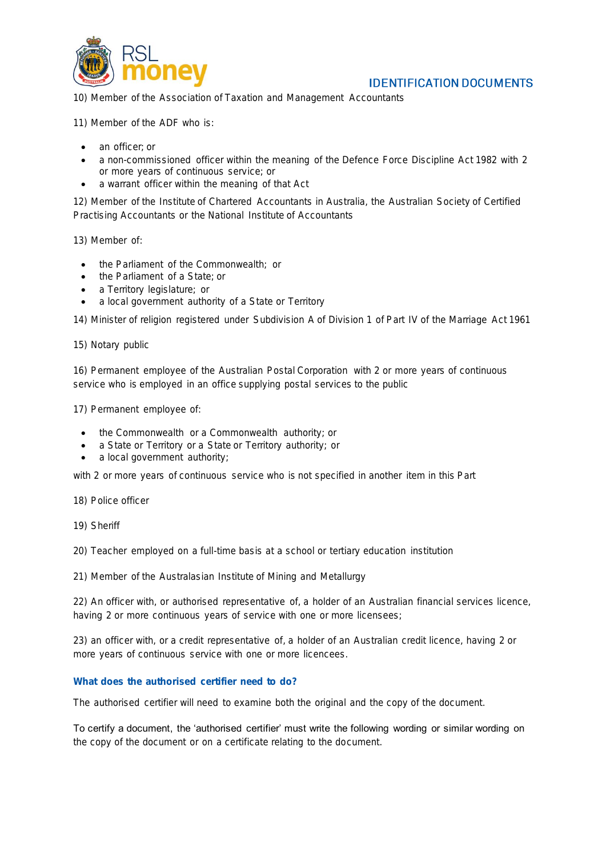

10) Member of the Association of Taxation and Management Accountants

11) Member of the ADF who is:

- an officer; or
- a non-commissioned officer within the meaning of the Defence Force Discipline Act 1982 with 2 or more years of continuous service; or
- a warrant officer within the meaning of that Act

12) Member of the Institute of Chartered Accountants in Australia, the Australian Society of Certified Practising Accountants or the National Institute of Accountants

13) Member of:

- the Parliament of the Commonwealth; or
- the Parliament of a State; or
- a Territory legislature; or
- a local government authority of a State or Territory

14) Minister of religion registered under Subdivision A of Division 1 of Part IV of the Marriage Act 1961

15) Notary public

16) Permanent employee of the Australian Postal Corporation with 2 or more years of continuous service who is employed in an office supplying postal services to the public

17) Permanent employee of:

- the Commonwealth or a Commonwealth authority; or
- a State or Territory or a State or Territory authority; or
- a local government authority;

with 2 or more years of continuous service who is not specified in another item in this Part

- 18) Police officer
- 19) Sheriff

20) Teacher employed on a full-time basis at a school or tertiary education institution

21) Member of the Australasian Institute of Mining and Metallurgy

22) An officer with, or authorised representative of, a holder of an Australian financial services licence, having 2 or more continuous years of service with one or more licensees;

23) an officer with, or a credit representative of, a holder of an Australian credit licence, having 2 or more years of continuous service with one or more licencees.

What does the authorised certifier need to do?

The authorised certifier will need to examine both the original and the copy of the document.

To certify a document, the 'authorised certifier' must write the following wording or similar wording on the copy of the document or on a certificate relating to the document.